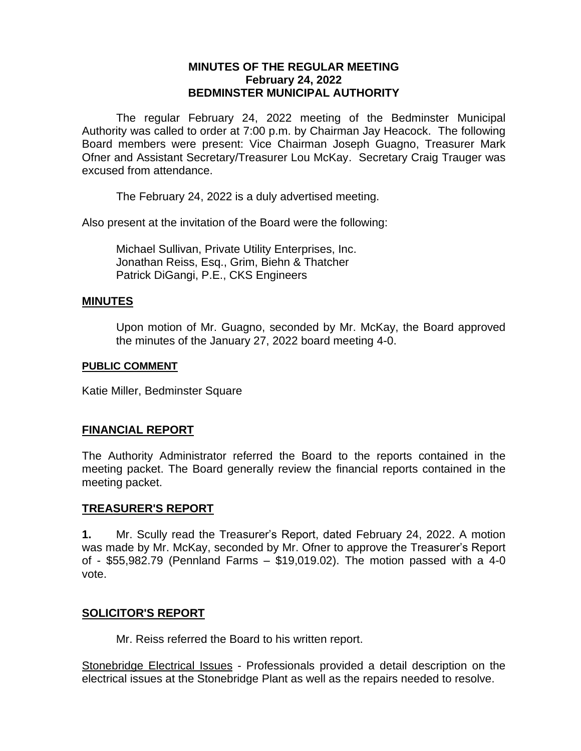## **MINUTES OF THE REGULAR MEETING February 24, 2022 BEDMINSTER MUNICIPAL AUTHORITY**

The regular February 24, 2022 meeting of the Bedminster Municipal Authority was called to order at 7:00 p.m. by Chairman Jay Heacock. The following Board members were present: Vice Chairman Joseph Guagno, Treasurer Mark Ofner and Assistant Secretary/Treasurer Lou McKay. Secretary Craig Trauger was excused from attendance.

The February 24, 2022 is a duly advertised meeting.

Also present at the invitation of the Board were the following:

Michael Sullivan, Private Utility Enterprises, Inc. Jonathan Reiss, Esq., Grim, Biehn & Thatcher Patrick DiGangi, P.E., CKS Engineers

### **MINUTES**

Upon motion of Mr. Guagno, seconded by Mr. McKay, the Board approved the minutes of the January 27, 2022 board meeting 4-0.

### **PUBLIC COMMENT**

Katie Miller, Bedminster Square

## **FINANCIAL REPORT**

The Authority Administrator referred the Board to the reports contained in the meeting packet. The Board generally review the financial reports contained in the meeting packet.

### **TREASURER'S REPORT**

**1.** Mr. Scully read the Treasurer's Report, dated February 24, 2022. A motion was made by Mr. McKay, seconded by Mr. Ofner to approve the Treasurer's Report of - \$55,982.79 (Pennland Farms – \$19,019.02). The motion passed with a 4-0 vote.

### **SOLICITOR'S REPORT**

Mr. Reiss referred the Board to his written report.

Stonebridge Electrical Issues - Professionals provided a detail description on the electrical issues at the Stonebridge Plant as well as the repairs needed to resolve.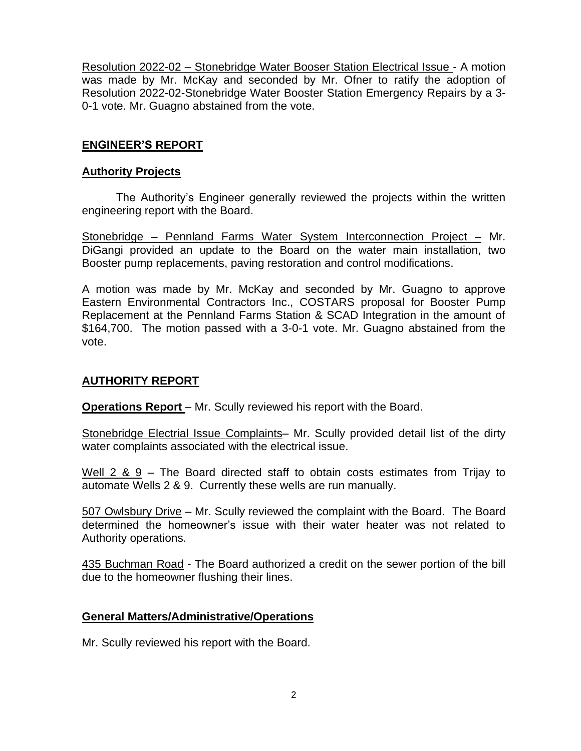Resolution 2022-02 – Stonebridge Water Booser Station Electrical Issue - A motion was made by Mr. McKay and seconded by Mr. Ofner to ratify the adoption of Resolution 2022-02-Stonebridge Water Booster Station Emergency Repairs by a 3- 0-1 vote. Mr. Guagno abstained from the vote.

## **ENGINEER'S REPORT**

### **Authority Projects**

The Authority's Engineer generally reviewed the projects within the written engineering report with the Board.

Stonebridge – Pennland Farms Water System Interconnection Project – Mr. DiGangi provided an update to the Board on the water main installation, two Booster pump replacements, paving restoration and control modifications.

A motion was made by Mr. McKay and seconded by Mr. Guagno to approve Eastern Environmental Contractors Inc., COSTARS proposal for Booster Pump Replacement at the Pennland Farms Station & SCAD Integration in the amount of \$164,700. The motion passed with a 3-0-1 vote. Mr. Guagno abstained from the vote.

## **AUTHORITY REPORT**

**Operations Report** – Mr. Scully reviewed his report with the Board.

Stonebridge Electrial Issue Complaints– Mr. Scully provided detail list of the dirty water complaints associated with the electrical issue.

Well 2 & 9 – The Board directed staff to obtain costs estimates from Trijay to automate Wells 2 & 9. Currently these wells are run manually.

507 Owlsbury Drive – Mr. Scully reviewed the complaint with the Board. The Board determined the homeowner's issue with their water heater was not related to Authority operations.

435 Buchman Road - The Board authorized a credit on the sewer portion of the bill due to the homeowner flushing their lines.

## **General Matters/Administrative/Operations**

Mr. Scully reviewed his report with the Board.